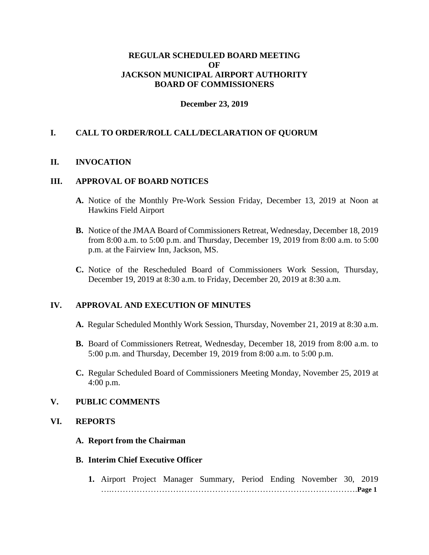# **REGULAR SCHEDULED BOARD MEETING OF JACKSON MUNICIPAL AIRPORT AUTHORITY BOARD OF COMMISSIONERS**

### **December 23, 2019**

# **I. CALL TO ORDER/ROLL CALL/DECLARATION OF QUORUM**

### **II. INVOCATION**

### **III. APPROVAL OF BOARD NOTICES**

- **A.** Notice of the Monthly Pre-Work Session Friday, December 13, 2019 at Noon at Hawkins Field Airport
- **B.** Notice of the JMAA Board of Commissioners Retreat, Wednesday, December 18, 2019 from 8:00 a.m. to 5:00 p.m. and Thursday, December 19, 2019 from 8:00 a.m. to 5:00 p.m. at the Fairview Inn, Jackson, MS.
- **C.** Notice of the Rescheduled Board of Commissioners Work Session, Thursday, December 19, 2019 at 8:30 a.m. to Friday, December 20, 2019 at 8:30 a.m.

#### **IV. APPROVAL AND EXECUTION OF MINUTES**

- **A.** Regular Scheduled Monthly Work Session, Thursday, November 21, 2019 at 8:30 a.m.
- **B.** Board of Commissioners Retreat, Wednesday, December 18, 2019 from 8:00 a.m. to 5:00 p.m. and Thursday, December 19, 2019 from 8:00 a.m. to 5:00 p.m.
- **C.** Regular Scheduled Board of Commissioners Meeting Monday, November 25, 2019 at 4:00 p.m.

# **V. PUBLIC COMMENTS**

# **VI. REPORTS**

**A. Report from the Chairman**

#### **B. Interim Chief Executive Officer**

**1.** Airport Project Manager Summary, Period Ending November 30, 2019 ….…………………………………………………………………………….**Page 1**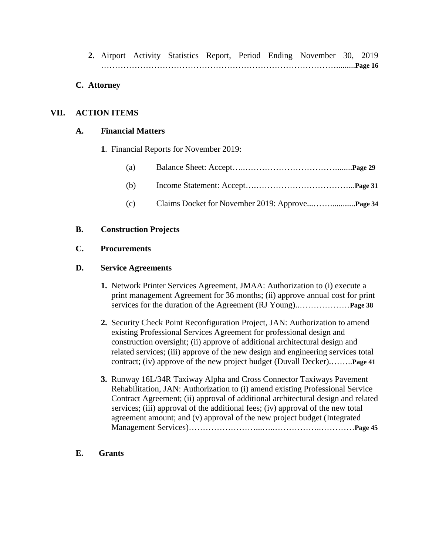**2.** Airport Activity Statistics Report, Period Ending November 30, 2019 ………………………………………………………………………….........**Page 16**

# **C. Attorney**

# **VII. ACTION ITEMS**

### **A. Financial Matters**

**1**. Financial Reports for November 2019:

| (a) |  |
|-----|--|
|-----|--|

- (b) Income Statement: Accept….……………………………...**Page 31**
- (c) Claims Docket for November 2019: Approve...……............**Page 34**

# **B. Construction Projects**

### **C. Procurements**

### **D. Service Agreements**

- **1.** Network Printer Services Agreement, JMAA: Authorization to (i) execute a print management Agreement for 36 months; (ii) approve annual cost for print services for the duration of the Agreement (RJ Young)..………………**Page 38**
- **2.** Security Check Point Reconfiguration Project, JAN: Authorization to amend existing Professional Services Agreement for professional design and construction oversight; (ii) approve of additional architectural design and related services; (iii) approve of the new design and engineering services total contract; (iv) approve of the new project budget (Duvall Decker).……..**Page 41**
- **3.** Runway 16L/34R Taxiway Alpha and Cross Connector Taxiways Pavement Rehabilitation, JAN: Authorization to (i) amend existing Professional Service Contract Agreement; (ii) approval of additional architectural design and related services; (iii) approval of the additional fees; (iv) approval of the new total agreement amount; and (v) approval of the new project budget (Integrated Management Services)……………………...…..……………..…………**Page 45**
- **E. Grants**